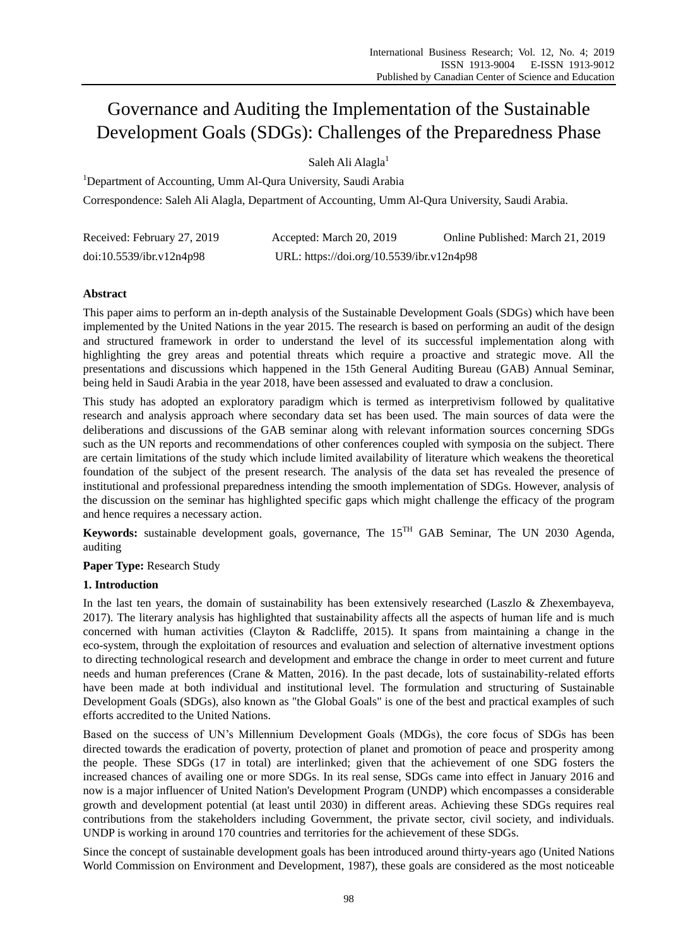# Governance and Auditing the Implementation of the Sustainable Development Goals (SDGs): Challenges of the Preparedness Phase

Saleh Ali Alagla<sup>1</sup>

<sup>1</sup>Department of Accounting, Umm Al-Qura University, Saudi Arabia Correspondence: Saleh Ali Alagla, Department of Accounting, Umm Al-Qura University, Saudi Arabia.

| Received: February 27, 2019 | Accepted: March 20, 2019                  | Online Published: March 21, 2019 |
|-----------------------------|-------------------------------------------|----------------------------------|
| doi:10.5539/ibr.v12n4p98    | URL: https://doi.org/10.5539/ibr.v12n4p98 |                                  |

# **Abstract**

This paper aims to perform an in-depth analysis of the Sustainable Development Goals (SDGs) which have been implemented by the United Nations in the year 2015. The research is based on performing an audit of the design and structured framework in order to understand the level of its successful implementation along with highlighting the grey areas and potential threats which require a proactive and strategic move. All the presentations and discussions which happened in the 15th General Auditing Bureau (GAB) Annual Seminar, being held in Saudi Arabia in the year 2018, have been assessed and evaluated to draw a conclusion.

This study has adopted an exploratory paradigm which is termed as interpretivism followed by qualitative research and analysis approach where secondary data set has been used. The main sources of data were the deliberations and discussions of the GAB seminar along with relevant information sources concerning SDGs such as the UN reports and recommendations of other conferences coupled with symposia on the subject. There are certain limitations of the study which include limited availability of literature which weakens the theoretical foundation of the subject of the present research. The analysis of the data set has revealed the presence of institutional and professional preparedness intending the smooth implementation of SDGs. However, analysis of the discussion on the seminar has highlighted specific gaps which might challenge the efficacy of the program and hence requires a necessary action.

**Keywords:** sustainable development goals, governance, The 15TH GAB Seminar, The UN 2030 Agenda, auditing

**Paper Type:** Research Study

# **1. Introduction**

In the last ten years, the domain of sustainability has been extensively researched (Laszlo & Zhexembayeva, 2017). The literary analysis has highlighted that sustainability affects all the aspects of human life and is much concerned with human activities (Clayton & Radcliffe, 2015). It spans from maintaining a change in the eco-system, through the exploitation of resources and evaluation and selection of alternative investment options to directing technological research and development and embrace the change in order to meet current and future needs and human preferences (Crane & Matten, 2016). In the past decade, lots of sustainability-related efforts have been made at both individual and institutional level. The formulation and structuring of Sustainable Development Goals (SDGs), also known as "the Global Goals" is one of the best and practical examples of such efforts accredited to the United Nations.

Based on the success of UN"s Millennium Development Goals (MDGs), the core focus of SDGs has been directed towards the eradication of poverty, protection of planet and promotion of peace and prosperity among the people. These SDGs (17 in total) are interlinked; given that the achievement of one SDG fosters the increased chances of availing one or more SDGs. In its real sense, SDGs came into effect in January 2016 and now is a major influencer of United Nation's Development Program (UNDP) which encompasses a considerable growth and development potential (at least until 2030) in different areas. Achieving these SDGs requires real contributions from the stakeholders including Government, the private sector, civil society, and individuals. UNDP is working in around 170 countries and territories for the achievement of these SDGs.

Since the concept of sustainable development goals has been introduced around thirty-years ago (United Nations World Commission on Environment and Development, 1987), these goals are considered as the most noticeable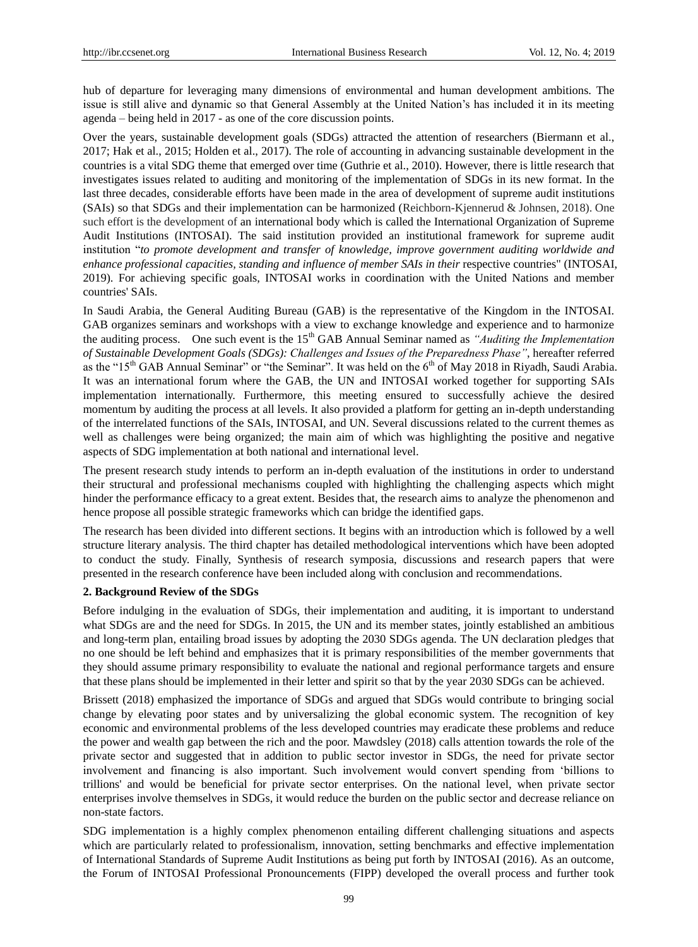hub of departure for leveraging many dimensions of environmental and human development ambitions. The issue is still alive and dynamic so that General Assembly at the United Nation"s has included it in its meeting agenda – being held in 2017 - as one of the core discussion points.

Over the years, sustainable development goals (SDGs) attracted the attention of researchers (Biermann et al., 2017; Hak et al., 2015; Holden et al., 2017). The role of accounting in advancing sustainable development in the countries is a vital SDG theme that emerged over time (Guthrie et al., 2010). However, there is little research that investigates issues related to auditing and monitoring of the implementation of SDGs in its new format. In the last three decades, considerable efforts have been made in the area of development of supreme audit institutions (SAIs) so that SDGs and their implementation can be harmonized (Reichborn-Kjennerud & Johnsen, 2018). One such effort is the development of an international body which is called the International Organization of Supreme Audit Institutions (INTOSAI). The said institution provided an institutional framework for supreme audit institution "*to promote development and transfer of knowledge, improve government auditing worldwide and enhance professional capacities, standing and influence of member SAIs in their respective countries"* (INTOSAI, 2019). For achieving specific goals, INTOSAI works in coordination with the United Nations and member countries' SAIs.

In Saudi Arabia, the General Auditing Bureau (GAB) is the representative of the Kingdom in the INTOSAI. GAB organizes seminars and workshops with a view to exchange knowledge and experience and to harmonize the auditing process. One such event is the 15th GAB Annual Seminar named as *"Auditing the Implementation of Sustainable Development Goals (SDGs): Challenges and Issues of the Preparedness Phase"*, hereafter referred as the "15<sup>th</sup> GAB Annual Seminar" or "the Seminar". It was held on the 6<sup>th</sup> of May 2018 in Riyadh, Saudi Arabia. It was an international forum where the GAB, the UN and INTOSAI worked together for supporting SAIs implementation internationally. Furthermore, this meeting ensured to successfully achieve the desired momentum by auditing the process at all levels. It also provided a platform for getting an in-depth understanding of the interrelated functions of the SAIs, INTOSAI, and UN. Several discussions related to the current themes as well as challenges were being organized; the main aim of which was highlighting the positive and negative aspects of SDG implementation at both national and international level.

The present research study intends to perform an in-depth evaluation of the institutions in order to understand their structural and professional mechanisms coupled with highlighting the challenging aspects which might hinder the performance efficacy to a great extent. Besides that, the research aims to analyze the phenomenon and hence propose all possible strategic frameworks which can bridge the identified gaps.

The research has been divided into different sections. It begins with an introduction which is followed by a well structure literary analysis. The third chapter has detailed methodological interventions which have been adopted to conduct the study. Finally, Synthesis of research symposia, discussions and research papers that were presented in the research conference have been included along with conclusion and recommendations.

#### **2. Background Review of the SDGs**

Before indulging in the evaluation of SDGs, their implementation and auditing, it is important to understand what SDGs are and the need for SDGs. In 2015, the UN and its member states, jointly established an ambitious and long-term plan, entailing broad issues by adopting the 2030 SDGs agenda. The UN declaration pledges that no one should be left behind and emphasizes that it is primary responsibilities of the member governments that they should assume primary responsibility to evaluate the national and regional performance targets and ensure that these plans should be implemented in their letter and spirit so that by the year 2030 SDGs can be achieved.

Brissett (2018) emphasized the importance of SDGs and argued that SDGs would contribute to bringing social change by elevating poor states and by universalizing the global economic system. The recognition of key economic and environmental problems of the less developed countries may eradicate these problems and reduce the power and wealth gap between the rich and the poor. Mawdsley (2018) calls attention towards the role of the private sector and suggested that in addition to public sector investor in SDGs, the need for private sector involvement and financing is also important. Such involvement would convert spending from "billions to trillions' and would be beneficial for private sector enterprises. On the national level, when private sector enterprises involve themselves in SDGs, it would reduce the burden on the public sector and decrease reliance on non-state factors.

SDG implementation is a highly complex phenomenon entailing different challenging situations and aspects which are particularly related to professionalism, innovation, setting benchmarks and effective implementation of International Standards of Supreme Audit Institutions as being put forth by INTOSAI (2016). As an outcome, the Forum of INTOSAI Professional Pronouncements (FIPP) developed the overall process and further took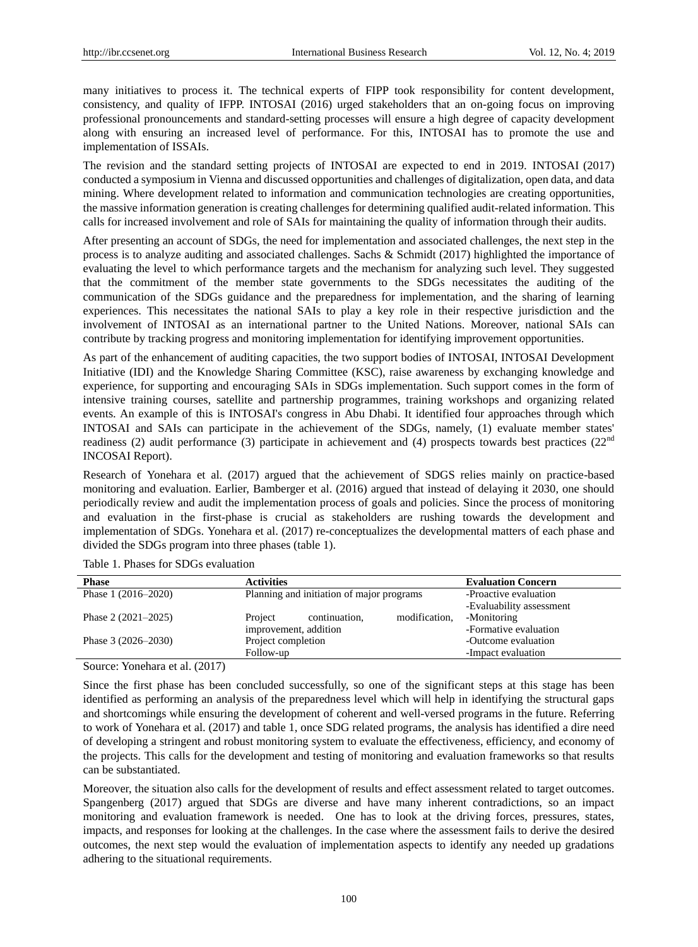many initiatives to process it. The technical experts of FIPP took responsibility for content development, consistency, and quality of IFPP. INTOSAI (2016) urged stakeholders that an on-going focus on improving professional pronouncements and standard-setting processes will ensure a high degree of capacity development along with ensuring an increased level of performance. For this, INTOSAI has to promote the use and implementation of ISSAIs.

The revision and the standard setting projects of INTOSAI are expected to end in 2019. INTOSAI (2017) conducted a symposium in Vienna and discussed opportunities and challenges of digitalization, open data, and data mining. Where development related to information and communication technologies are creating opportunities, the massive information generation is creating challenges for determining qualified audit-related information. This calls for increased involvement and role of SAIs for maintaining the quality of information through their audits.

After presenting an account of SDGs, the need for implementation and associated challenges, the next step in the process is to analyze auditing and associated challenges. Sachs & Schmidt (2017) highlighted the importance of evaluating the level to which performance targets and the mechanism for analyzing such level. They suggested that the commitment of the member state governments to the SDGs necessitates the auditing of the communication of the SDGs guidance and the preparedness for implementation, and the sharing of learning experiences. This necessitates the national SAIs to play a key role in their respective jurisdiction and the involvement of INTOSAI as an international partner to the United Nations. Moreover, national SAIs can contribute by tracking progress and monitoring implementation for identifying improvement opportunities.

As part of the enhancement of auditing capacities, the two support bodies of INTOSAI, INTOSAI Development Initiative (IDI) and the Knowledge Sharing Committee (KSC), raise awareness by exchanging knowledge and experience, for supporting and encouraging SAIs in SDGs implementation. Such support comes in the form of intensive training courses, satellite and partnership programmes, training workshops and organizing related events. An example of this is INTOSAI's congress in Abu Dhabi. It identified four approaches through which INTOSAI and SAIs can participate in the achievement of the SDGs, namely, (1) evaluate member states' readiness (2) audit performance (3) participate in achievement and (4) prospects towards best practices ( $22<sup>nd</sup>$ INCOSAI Report).

Research of Yonehara et al. (2017) argued that the achievement of SDGS relies mainly on practice-based monitoring and evaluation. Earlier, Bamberger et al. (2016) argued that instead of delaying it 2030, one should periodically review and audit the implementation process of goals and policies. Since the process of monitoring and evaluation in the first-phase is crucial as stakeholders are rushing towards the development and implementation of SDGs. Yonehara et al. (2017) re-conceptualizes the developmental matters of each phase and divided the SDGs program into three phases (table 1).

| <b>Phase</b>                                                                                  | <b>Activities</b>                         | <b>Evaluation Concern</b> |
|-----------------------------------------------------------------------------------------------|-------------------------------------------|---------------------------|
| Phase $1(2016-2020)$                                                                          | Planning and initiation of major programs | -Proactive evaluation     |
|                                                                                               |                                           | -Evaluability assessment  |
| Phase $2(2021-2025)$                                                                          | modification,<br>continuation.<br>Project | -Monitoring               |
|                                                                                               | improvement, addition                     | -Formative evaluation     |
| Phase $3(2026-2030)$                                                                          | Project completion                        | -Outcome evaluation       |
|                                                                                               | Follow-up                                 | -Impact evaluation        |
| $\sim$<br>$\sim$ $\sim$ $\sim$ $\sim$ $\sim$ $\sim$<br>$\mathbf{v}$ $\mathbf{v}$ $\mathbf{v}$ |                                           |                           |

Table 1. Phases for SDGs evaluation

Source: Yonehara et al. (2017)

Since the first phase has been concluded successfully, so one of the significant steps at this stage has been identified as performing an analysis of the preparedness level which will help in identifying the structural gaps and shortcomings while ensuring the development of coherent and well-versed programs in the future. Referring to work of Yonehara et al. (2017) and table 1, once SDG related programs, the analysis has identified a dire need of developing a stringent and robust monitoring system to evaluate the effectiveness, efficiency, and economy of the projects. This calls for the development and testing of monitoring and evaluation frameworks so that results can be substantiated.

Moreover, the situation also calls for the development of results and effect assessment related to target outcomes. Spangenberg (2017) argued that SDGs are diverse and have many inherent contradictions, so an impact monitoring and evaluation framework is needed. One has to look at the driving forces, pressures, states, impacts, and responses for looking at the challenges. In the case where the assessment fails to derive the desired outcomes, the next step would the evaluation of implementation aspects to identify any needed up gradations adhering to the situational requirements.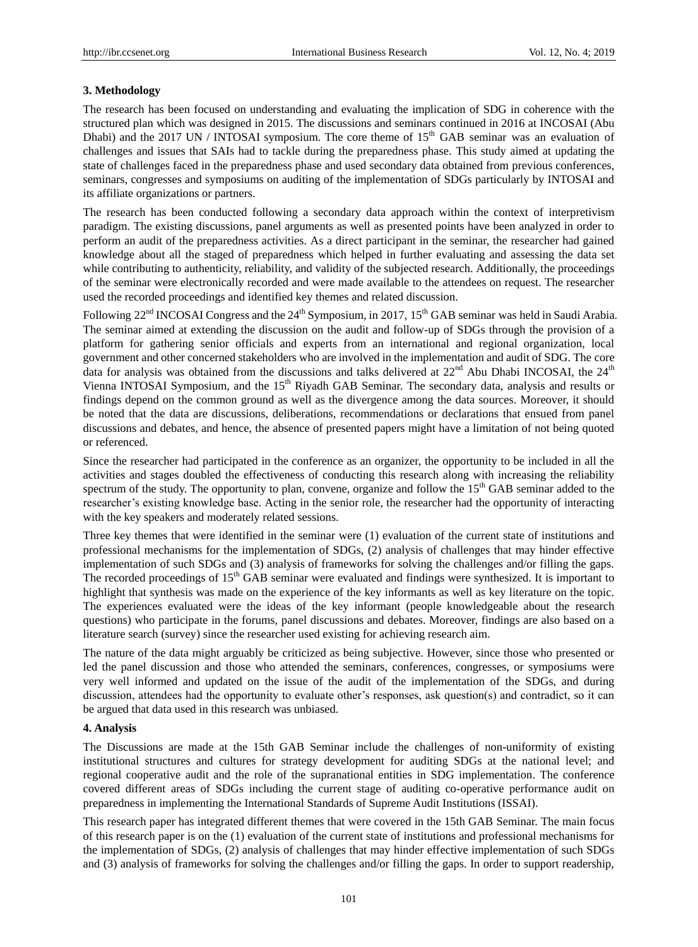#### **3. Methodology**

The research has been focused on understanding and evaluating the implication of SDG in coherence with the structured plan which was designed in 2015. The discussions and seminars continued in 2016 at INCOSAI (Abu Dhabi) and the 2017 UN / INTOSAI symposium. The core theme of 15<sup>th</sup> GAB seminar was an evaluation of challenges and issues that SAIs had to tackle during the preparedness phase. This study aimed at updating the state of challenges faced in the preparedness phase and used secondary data obtained from previous conferences, seminars, congresses and symposiums on auditing of the implementation of SDGs particularly by INTOSAI and its affiliate organizations or partners.

The research has been conducted following a secondary data approach within the context of interpretivism paradigm. The existing discussions, panel arguments as well as presented points have been analyzed in order to perform an audit of the preparedness activities. As a direct participant in the seminar, the researcher had gained knowledge about all the staged of preparedness which helped in further evaluating and assessing the data set while contributing to authenticity, reliability, and validity of the subjected research. Additionally, the proceedings of the seminar were electronically recorded and were made available to the attendees on request. The researcher used the recorded proceedings and identified key themes and related discussion.

Following 22<sup>nd</sup> INCOSAI Congress and the 24<sup>th</sup> Symposium, in 2017, 15<sup>th</sup> GAB seminar was held in Saudi Arabia. The seminar aimed at extending the discussion on the audit and follow-up of SDGs through the provision of a platform for gathering senior officials and experts from an international and regional organization, local government and other concerned stakeholders who are involved in the implementation and audit of SDG. The core data for analysis was obtained from the discussions and talks delivered at  $22<sup>nd</sup>$  Abu Dhabi INCOSAI, the  $24<sup>th</sup>$ Vienna INTOSAI Symposium, and the 15<sup>th</sup> Riyadh GAB Seminar. The secondary data, analysis and results or findings depend on the common ground as well as the divergence among the data sources. Moreover, it should be noted that the data are discussions, deliberations, recommendations or declarations that ensued from panel discussions and debates, and hence, the absence of presented papers might have a limitation of not being quoted or referenced.

Since the researcher had participated in the conference as an organizer, the opportunity to be included in all the activities and stages doubled the effectiveness of conducting this research along with increasing the reliability spectrum of the study. The opportunity to plan, convene, organize and follow the 15<sup>th</sup> GAB seminar added to the researcher"s existing knowledge base. Acting in the senior role, the researcher had the opportunity of interacting with the key speakers and moderately related sessions.

Three key themes that were identified in the seminar were (1) evaluation of the current state of institutions and professional mechanisms for the implementation of SDGs, (2) analysis of challenges that may hinder effective implementation of such SDGs and (3) analysis of frameworks for solving the challenges and/or filling the gaps. The recorded proceedings of 15<sup>th</sup> GAB seminar were evaluated and findings were synthesized. It is important to highlight that synthesis was made on the experience of the key informants as well as key literature on the topic. The experiences evaluated were the ideas of the key informant (people knowledgeable about the research questions) who participate in the forums, panel discussions and debates. Moreover, findings are also based on a literature search (survey) since the researcher used existing for achieving research aim.

The nature of the data might arguably be criticized as being subjective. However, since those who presented or led the panel discussion and those who attended the seminars, conferences, congresses, or symposiums were very well informed and updated on the issue of the audit of the implementation of the SDGs, and during discussion, attendees had the opportunity to evaluate other"s responses, ask question(s) and contradict, so it can be argued that data used in this research was unbiased.

## **4. Analysis**

The Discussions are made at the 15th GAB Seminar include the challenges of non-uniformity of existing institutional structures and cultures for strategy development for auditing SDGs at the national level; and regional cooperative audit and the role of the supranational entities in SDG implementation. The conference covered different areas of SDGs including the current stage of auditing co-operative performance audit on preparedness in implementing the International Standards of Supreme Audit Institutions (ISSAI).

This research paper has integrated different themes that were covered in the 15th GAB Seminar. The main focus of this research paper is on the (1) evaluation of the current state of institutions and professional mechanisms for the implementation of SDGs, (2) analysis of challenges that may hinder effective implementation of such SDGs and (3) analysis of frameworks for solving the challenges and/or filling the gaps. In order to support readership,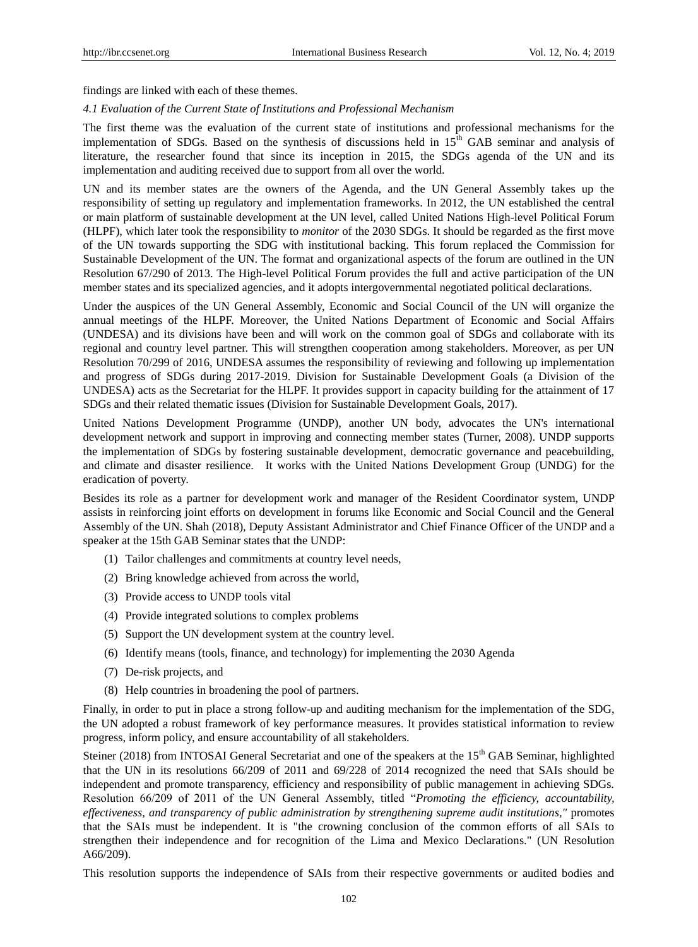findings are linked with each of these themes.

#### *4.1 Evaluation of the Current State of Institutions and Professional Mechanism*

The first theme was the evaluation of the current state of institutions and professional mechanisms for the implementation of SDGs. Based on the synthesis of discussions held in 15<sup>th</sup> GAB seminar and analysis of literature, the researcher found that since its inception in 2015, the SDGs agenda of the UN and its implementation and auditing received due to support from all over the world.

UN and its member states are the owners of the Agenda, and the UN General Assembly takes up the responsibility of setting up regulatory and implementation frameworks. In 2012, the UN established the central or main platform of sustainable development at the UN level, called United Nations High-level Political Forum (HLPF), which later took the responsibility to *monitor* of the 2030 SDGs. It should be regarded as the first move of the UN towards supporting the SDG with institutional backing. This forum replaced the Commission for Sustainable Development of the UN. The format and organizational aspects of the forum are outlined in the UN Resolution 67/290 of 2013. The High-level Political Forum provides the full and active participation of the UN member states and its specialized agencies, and it adopts intergovernmental negotiated political declarations.

Under the auspices of the UN General Assembly, Economic and Social Council of the UN will organize the annual meetings of the HLPF. Moreover, the United Nations Department of Economic and Social Affairs (UNDESA) and its divisions have been and will work on the common goal of SDGs and collaborate with its regional and country level partner. This will strengthen cooperation among stakeholders. Moreover, as per UN Resolution 70/299 of 2016, UNDESA assumes the responsibility of reviewing and following up implementation and progress of SDGs during 2017-2019. Division for Sustainable Development Goals (a Division of the UNDESA) acts as the Secretariat for the HLPF. It provides support in capacity building for the attainment of 17 SDGs and their related thematic issues (Division for Sustainable Development Goals, 2017).

United Nations Development Programme (UNDP), another UN body, advocates the UN's international development network and support in improving and connecting member states (Turner, 2008). UNDP supports the implementation of SDGs by fostering sustainable development, democratic governance and peacebuilding, and climate and disaster resilience. It works with the United Nations Development Group (UNDG) for the eradication of poverty.

Besides its role as a partner for development work and manager of the Resident Coordinator system, UNDP assists in reinforcing joint efforts on development in forums like Economic and Social Council and the General Assembly of the UN. Shah (2018), Deputy Assistant Administrator and Chief Finance Officer of the UNDP and a speaker at the 15th GAB Seminar states that the UNDP:

- (1) Tailor challenges and commitments at country level needs,
- (2) Bring knowledge achieved from across the world,
- (3) Provide access to UNDP tools vital
- (4) Provide integrated solutions to complex problems
- (5) Support the UN development system at the country level.
- (6) Identify means (tools, finance, and technology) for implementing the 2030 Agenda
- (7) De-risk projects, and
- (8) Help countries in broadening the pool of partners.

Finally, in order to put in place a strong follow-up and auditing mechanism for the implementation of the SDG, the UN adopted a robust framework of key performance measures. It provides statistical information to review progress, inform policy, and ensure accountability of all stakeholders.

Steiner (2018) from INTOSAI General Secretariat and one of the speakers at the 15<sup>th</sup> GAB Seminar, highlighted that the UN in its resolutions 66/209 of 2011 and 69/228 of 2014 recognized the need that SAIs should be independent and promote transparency, efficiency and responsibility of public management in achieving SDGs. Resolution 66/209 of 2011 of the UN General Assembly, titled "*Promoting the efficiency, accountability, effectiveness, and transparency of public administration by strengthening supreme audit institutions,"* promotes that the SAIs must be independent. It is "the crowning conclusion of the common efforts of all SAIs to strengthen their independence and for recognition of the Lima and Mexico Declarations." (UN Resolution A66/209).

This resolution supports the independence of SAIs from their respective governments or audited bodies and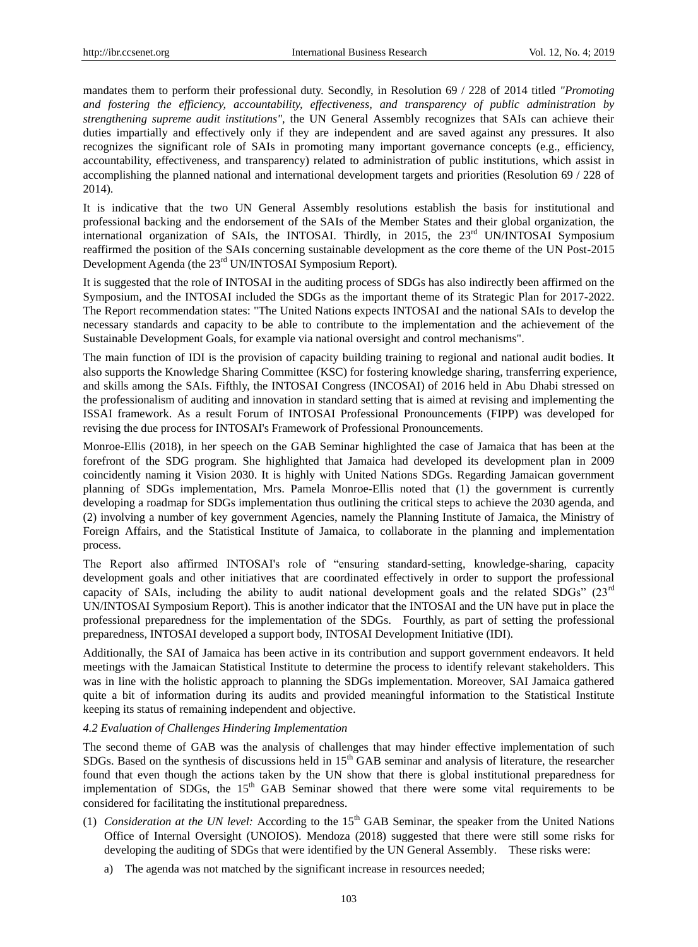mandates them to perform their professional duty. Secondly, in Resolution 69 / 228 of 2014 titled *"Promoting and fostering the efficiency, accountability, effectiveness, and transparency of public administration by strengthening supreme audit institutions",* the UN General Assembly recognizes that SAIs can achieve their duties impartially and effectively only if they are independent and are saved against any pressures. It also recognizes the significant role of SAIs in promoting many important governance concepts (e.g., efficiency, accountability, effectiveness, and transparency) related to administration of public institutions, which assist in accomplishing the planned national and international development targets and priorities (Resolution 69 / 228 of 2014).

It is indicative that the two UN General Assembly resolutions establish the basis for institutional and professional backing and the endorsement of the SAIs of the Member States and their global organization, the international organization of SAIs, the INTOSAI. Thirdly, in 2015, the  $23<sup>rd</sup>$  UN/INTOSAI Symposium reaffirmed the position of the SAIs concerning sustainable development as the core theme of the UN Post-2015 Development Agenda (the 23<sup>rd</sup> UN/INTOSAI Symposium Report).

It is suggested that the role of INTOSAI in the auditing process of SDGs has also indirectly been affirmed on the Symposium, and the INTOSAI included the SDGs as the important theme of its Strategic Plan for 2017-2022. The Report recommendation states: "The United Nations expects INTOSAI and the national SAIs to develop the necessary standards and capacity to be able to contribute to the implementation and the achievement of the Sustainable Development Goals, for example via national oversight and control mechanisms".

The main function of IDI is the provision of capacity building training to regional and national audit bodies. It also supports the Knowledge Sharing Committee (KSC) for fostering knowledge sharing, transferring experience, and skills among the SAIs. Fifthly, the INTOSAI Congress (INCOSAI) of 2016 held in Abu Dhabi stressed on the professionalism of auditing and innovation in standard setting that is aimed at revising and implementing the ISSAI framework. As a result Forum of INTOSAI Professional Pronouncements (FIPP) was developed for revising the due process for INTOSAI's Framework of Professional Pronouncements.

Monroe-Ellis (2018), in her speech on the GAB Seminar highlighted the case of Jamaica that has been at the forefront of the SDG program. She highlighted that Jamaica had developed its development plan in 2009 coincidently naming it Vision 2030. It is highly with United Nations SDGs. Regarding Jamaican government planning of SDGs implementation, Mrs. Pamela Monroe-Ellis noted that (1) the government is currently developing a roadmap for SDGs implementation thus outlining the critical steps to achieve the 2030 agenda, and (2) involving a number of key government Agencies, namely the Planning Institute of Jamaica, the Ministry of Foreign Affairs, and the Statistical Institute of Jamaica, to collaborate in the planning and implementation process.

The Report also affirmed INTOSAI's role of "ensuring standard-setting, knowledge-sharing, capacity development goals and other initiatives that are coordinated effectively in order to support the professional capacity of SAIs, including the ability to audit national development goals and the related SDGs"  $(23<sup>rd</sup>$ UN/INTOSAI Symposium Report). This is another indicator that the INTOSAI and the UN have put in place the professional preparedness for the implementation of the SDGs. Fourthly, as part of setting the professional preparedness, INTOSAI developed a support body, INTOSAI Development Initiative (IDI).

Additionally, the SAI of Jamaica has been active in its contribution and support government endeavors. It held meetings with the Jamaican Statistical Institute to determine the process to identify relevant stakeholders. This was in line with the holistic approach to planning the SDGs implementation. Moreover, SAI Jamaica gathered quite a bit of information during its audits and provided meaningful information to the Statistical Institute keeping its status of remaining independent and objective.

*4.2 Evaluation of Challenges Hindering Implementation* 

The second theme of GAB was the analysis of challenges that may hinder effective implementation of such SDGs. Based on the synthesis of discussions held in 15<sup>th</sup> GAB seminar and analysis of literature, the researcher found that even though the actions taken by the UN show that there is global institutional preparedness for implementation of SDGs, the  $15<sup>th</sup>$  GAB Seminar showed that there were some vital requirements to be considered for facilitating the institutional preparedness.

- (1) *Consideration at the UN level:* According to the 15th GAB Seminar, the speaker from the United Nations Office of Internal Oversight (UNOIOS). Mendoza (2018) suggested that there were still some risks for developing the auditing of SDGs that were identified by the UN General Assembly. These risks were:
	- a) The agenda was not matched by the significant increase in resources needed;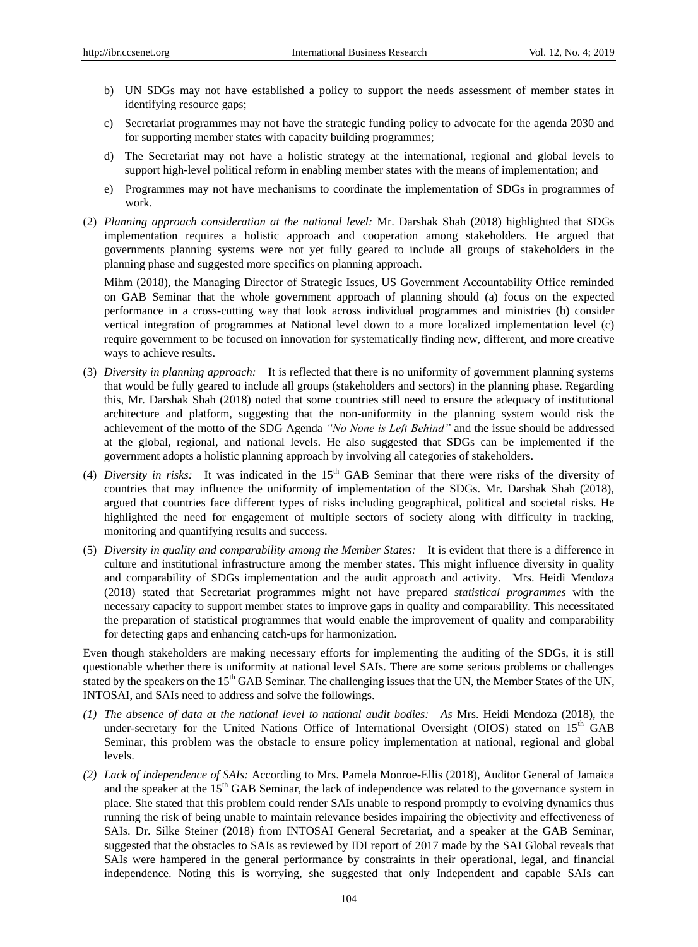- b) UN SDGs may not have established a policy to support the needs assessment of member states in identifying resource gaps;
- c) Secretariat programmes may not have the strategic funding policy to advocate for the agenda 2030 and for supporting member states with capacity building programmes;
- d) The Secretariat may not have a holistic strategy at the international, regional and global levels to support high-level political reform in enabling member states with the means of implementation; and
- e) Programmes may not have mechanisms to coordinate the implementation of SDGs in programmes of work.
- (2) *Planning approach consideration at the national level:* Mr. Darshak Shah (2018) highlighted that SDGs implementation requires a holistic approach and cooperation among stakeholders. He argued that governments planning systems were not yet fully geared to include all groups of stakeholders in the planning phase and suggested more specifics on planning approach.

Mihm (2018), the Managing Director of Strategic Issues, US Government Accountability Office reminded on GAB Seminar that the whole government approach of planning should (a) focus on the expected performance in a cross-cutting way that look across individual programmes and ministries (b) consider vertical integration of programmes at National level down to a more localized implementation level (c) require government to be focused on innovation for systematically finding new, different, and more creative ways to achieve results.

- (3) *Diversity in planning approach:* It is reflected that there is no uniformity of government planning systems that would be fully geared to include all groups (stakeholders and sectors) in the planning phase. Regarding this, Mr. Darshak Shah (2018) noted that some countries still need to ensure the adequacy of institutional architecture and platform, suggesting that the non-uniformity in the planning system would risk the achievement of the motto of the SDG Agenda *"No None is Left Behind"* and the issue should be addressed at the global, regional, and national levels. He also suggested that SDGs can be implemented if the government adopts a holistic planning approach by involving all categories of stakeholders.
- (4) *Diversity in risks:* It was indicated in the 15<sup>th</sup> GAB Seminar that there were risks of the diversity of countries that may influence the uniformity of implementation of the SDGs. Mr. Darshak Shah (2018), argued that countries face different types of risks including geographical, political and societal risks. He highlighted the need for engagement of multiple sectors of society along with difficulty in tracking, monitoring and quantifying results and success.
- (5) *Diversity in quality and comparability among the Member States:* It is evident that there is a difference in culture and institutional infrastructure among the member states. This might influence diversity in quality and comparability of SDGs implementation and the audit approach and activity. Mrs. Heidi Mendoza (2018) stated that Secretariat programmes might not have prepared *statistical programmes* with the necessary capacity to support member states to improve gaps in quality and comparability. This necessitated the preparation of statistical programmes that would enable the improvement of quality and comparability for detecting gaps and enhancing catch-ups for harmonization.

Even though stakeholders are making necessary efforts for implementing the auditing of the SDGs, it is still questionable whether there is uniformity at national level SAIs. There are some serious problems or challenges stated by the speakers on the  $15<sup>th</sup> GAB$  Seminar. The challenging issues that the UN, the Member States of the UN, INTOSAI, and SAIs need to address and solve the followings.

- *(1) The absence of data at the national level to national audit bodies: As* Mrs. Heidi Mendoza (2018), the under-secretary for the United Nations Office of International Oversight (OIOS) stated on  $15<sup>th</sup>$  GAB Seminar, this problem was the obstacle to ensure policy implementation at national, regional and global levels.
- *(2) Lack of independence of SAIs:* According to Mrs. Pamela Monroe-Ellis (2018), Auditor General of Jamaica and the speaker at the  $15<sup>th</sup> GAB$  Seminar, the lack of independence was related to the governance system in place. She stated that this problem could render SAIs unable to respond promptly to evolving dynamics thus running the risk of being unable to maintain relevance besides impairing the objectivity and effectiveness of SAIs. Dr. Silke Steiner (2018) from INTOSAI General Secretariat, and a speaker at the GAB Seminar, suggested that the obstacles to SAIs as reviewed by IDI report of 2017 made by the SAI Global reveals that SAIs were hampered in the general performance by constraints in their operational, legal, and financial independence. Noting this is worrying, she suggested that only Independent and capable SAIs can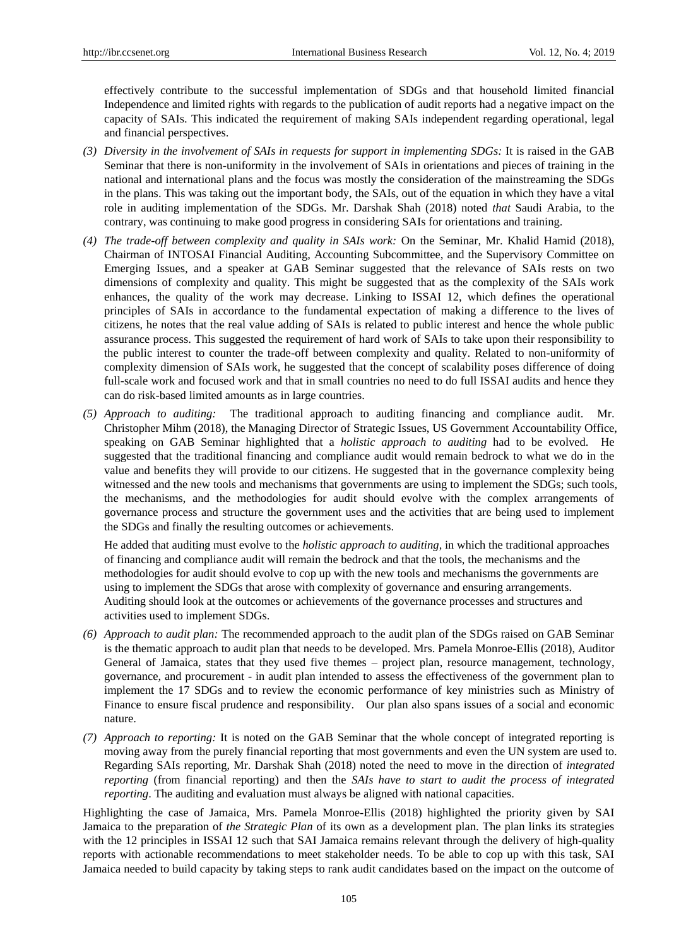effectively contribute to the successful implementation of SDGs and that household limited financial Independence and limited rights with regards to the publication of audit reports had a negative impact on the capacity of SAIs. This indicated the requirement of making SAIs independent regarding operational, legal and financial perspectives.

- *(3) Diversity in the involvement of SAIs in requests for support in implementing SDGs:* It is raised in the GAB Seminar that there is non-uniformity in the involvement of SAIs in orientations and pieces of training in the national and international plans and the focus was mostly the consideration of the mainstreaming the SDGs in the plans. This was taking out the important body, the SAIs, out of the equation in which they have a vital role in auditing implementation of the SDGs. Mr. Darshak Shah (2018) noted *that* Saudi Arabia, to the contrary, was continuing to make good progress in considering SAIs for orientations and training.
- *(4) The trade-off between complexity and quality in SAIs work:* On the Seminar, Mr. Khalid Hamid (2018), Chairman of INTOSAI Financial Auditing, Accounting Subcommittee, and the Supervisory Committee on Emerging Issues, and a speaker at GAB Seminar suggested that the relevance of SAIs rests on two dimensions of complexity and quality. This might be suggested that as the complexity of the SAIs work enhances, the quality of the work may decrease. Linking to ISSAI 12, which defines the operational principles of SAIs in accordance to the fundamental expectation of making a difference to the lives of citizens, he notes that the real value adding of SAIs is related to public interest and hence the whole public assurance process. This suggested the requirement of hard work of SAIs to take upon their responsibility to the public interest to counter the trade-off between complexity and quality. Related to non-uniformity of complexity dimension of SAIs work, he suggested that the concept of scalability poses difference of doing full-scale work and focused work and that in small countries no need to do full ISSAI audits and hence they can do risk-based limited amounts as in large countries.
- *(5) Approach to auditing:* The traditional approach to auditing financing and compliance audit. Mr. Christopher Mihm (2018), the Managing Director of Strategic Issues, US Government Accountability Office, speaking on GAB Seminar highlighted that a *holistic approach to auditing* had to be evolved. He suggested that the traditional financing and compliance audit would remain bedrock to what we do in the value and benefits they will provide to our citizens. He suggested that in the governance complexity being witnessed and the new tools and mechanisms that governments are using to implement the SDGs; such tools, the mechanisms, and the methodologies for audit should evolve with the complex arrangements of governance process and structure the government uses and the activities that are being used to implement the SDGs and finally the resulting outcomes or achievements.

He added that auditing must evolve to the *holistic approach to auditing*, in which the traditional approaches of financing and compliance audit will remain the bedrock and that the tools, the mechanisms and the methodologies for audit should evolve to cop up with the new tools and mechanisms the governments are using to implement the SDGs that arose with complexity of governance and ensuring arrangements. Auditing should look at the outcomes or achievements of the governance processes and structures and activities used to implement SDGs.

- *(6) Approach to audit plan:* The recommended approach to the audit plan of the SDGs raised on GAB Seminar is the thematic approach to audit plan that needs to be developed. Mrs. Pamela Monroe-Ellis (2018), Auditor General of Jamaica, states that they used five themes – project plan, resource management, technology, governance, and procurement - in audit plan intended to assess the effectiveness of the government plan to implement the 17 SDGs and to review the economic performance of key ministries such as Ministry of Finance to ensure fiscal prudence and responsibility. Our plan also spans issues of a social and economic nature.
- *(7) Approach to reporting:* It is noted on the GAB Seminar that the whole concept of integrated reporting is moving away from the purely financial reporting that most governments and even the UN system are used to. Regarding SAIs reporting, Mr. Darshak Shah (2018) noted the need to move in the direction of *integrated reporting* (from financial reporting) and then the *SAIs have to start to audit the process of integrated reporting*. The auditing and evaluation must always be aligned with national capacities.

Highlighting the case of Jamaica, Mrs. Pamela Monroe-Ellis (2018) highlighted the priority given by SAI Jamaica to the preparation of *the Strategic Plan* of its own as a development plan. The plan links its strategies with the 12 principles in ISSAI 12 such that SAI Jamaica remains relevant through the delivery of high-quality reports with actionable recommendations to meet stakeholder needs. To be able to cop up with this task, SAI Jamaica needed to build capacity by taking steps to rank audit candidates based on the impact on the outcome of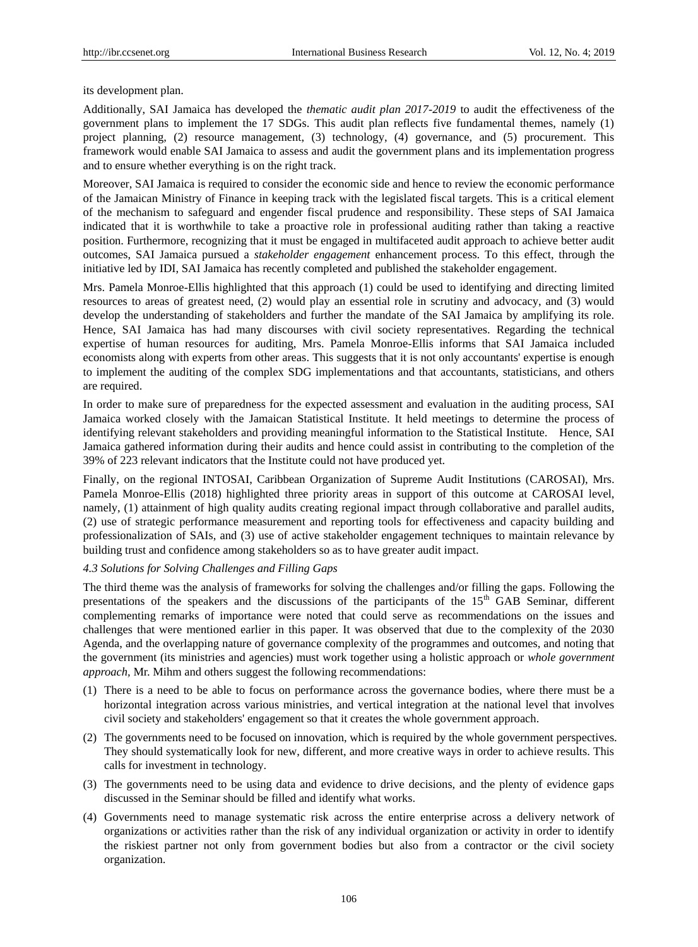its development plan.

Additionally, SAI Jamaica has developed the *thematic audit plan 2017-2019* to audit the effectiveness of the government plans to implement the 17 SDGs. This audit plan reflects five fundamental themes, namely (1) project planning, (2) resource management, (3) technology, (4) governance, and (5) procurement. This framework would enable SAI Jamaica to assess and audit the government plans and its implementation progress and to ensure whether everything is on the right track.

Moreover, SAI Jamaica is required to consider the economic side and hence to review the economic performance of the Jamaican Ministry of Finance in keeping track with the legislated fiscal targets. This is a critical element of the mechanism to safeguard and engender fiscal prudence and responsibility. These steps of SAI Jamaica indicated that it is worthwhile to take a proactive role in professional auditing rather than taking a reactive position. Furthermore, recognizing that it must be engaged in multifaceted audit approach to achieve better audit outcomes, SAI Jamaica pursued a *stakeholder engagement* enhancement process. To this effect, through the initiative led by IDI, SAI Jamaica has recently completed and published the stakeholder engagement.

Mrs. Pamela Monroe-Ellis highlighted that this approach (1) could be used to identifying and directing limited resources to areas of greatest need, (2) would play an essential role in scrutiny and advocacy, and (3) would develop the understanding of stakeholders and further the mandate of the SAI Jamaica by amplifying its role. Hence, SAI Jamaica has had many discourses with civil society representatives. Regarding the technical expertise of human resources for auditing, Mrs. Pamela Monroe-Ellis informs that SAI Jamaica included economists along with experts from other areas. This suggests that it is not only accountants' expertise is enough to implement the auditing of the complex SDG implementations and that accountants, statisticians, and others are required.

In order to make sure of preparedness for the expected assessment and evaluation in the auditing process, SAI Jamaica worked closely with the Jamaican Statistical Institute. It held meetings to determine the process of identifying relevant stakeholders and providing meaningful information to the Statistical Institute. Hence, SAI Jamaica gathered information during their audits and hence could assist in contributing to the completion of the 39% of 223 relevant indicators that the Institute could not have produced yet.

Finally, on the regional INTOSAI, Caribbean Organization of Supreme Audit Institutions (CAROSAI), Mrs. Pamela Monroe-Ellis (2018) highlighted three priority areas in support of this outcome at CAROSAI level, namely, (1) attainment of high quality audits creating regional impact through collaborative and parallel audits, (2) use of strategic performance measurement and reporting tools for effectiveness and capacity building and professionalization of SAIs, and (3) use of active stakeholder engagement techniques to maintain relevance by building trust and confidence among stakeholders so as to have greater audit impact.

## *4.3 Solutions for Solving Challenges and Filling Gaps*

The third theme was the analysis of frameworks for solving the challenges and/or filling the gaps. Following the presentations of the speakers and the discussions of the participants of the  $15<sup>th</sup>$  GAB Seminar, different complementing remarks of importance were noted that could serve as recommendations on the issues and challenges that were mentioned earlier in this paper. It was observed that due to the complexity of the 2030 Agenda, and the overlapping nature of governance complexity of the programmes and outcomes, and noting that the government (its ministries and agencies) must work together using a holistic approach or *whole government approach,* Mr. Mihm and others suggest the following recommendations:

- (1) There is a need to be able to focus on performance across the governance bodies, where there must be a horizontal integration across various ministries, and vertical integration at the national level that involves civil society and stakeholders' engagement so that it creates the whole government approach.
- (2) The governments need to be focused on innovation, which is required by the whole government perspectives. They should systematically look for new, different, and more creative ways in order to achieve results. This calls for investment in technology.
- (3) The governments need to be using data and evidence to drive decisions, and the plenty of evidence gaps discussed in the Seminar should be filled and identify what works.
- (4) Governments need to manage systematic risk across the entire enterprise across a delivery network of organizations or activities rather than the risk of any individual organization or activity in order to identify the riskiest partner not only from government bodies but also from a contractor or the civil society organization.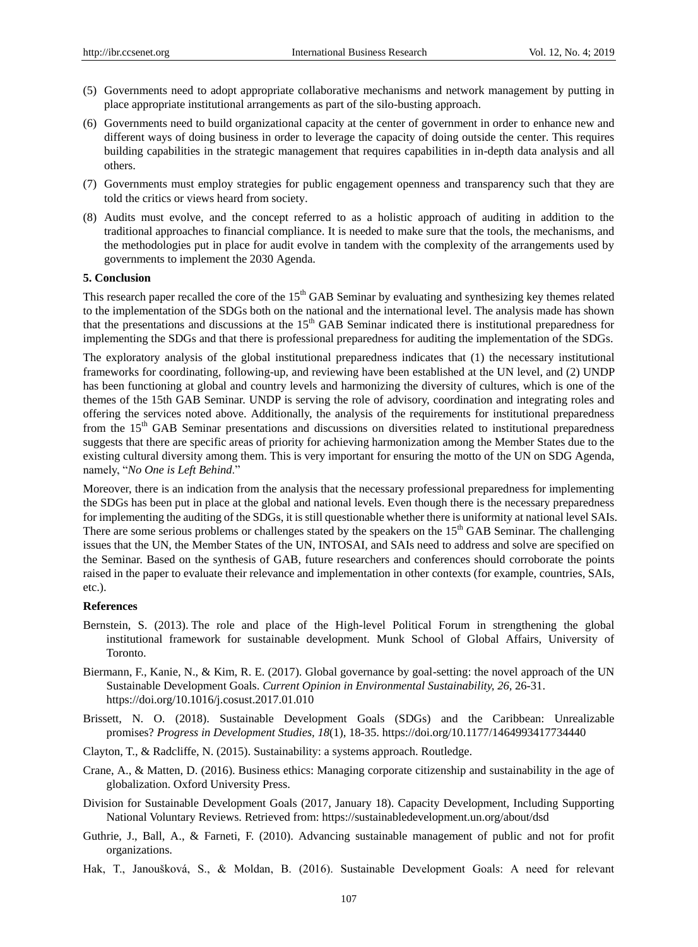- (5) Governments need to adopt appropriate collaborative mechanisms and network management by putting in place appropriate institutional arrangements as part of the silo-busting approach.
- (6) Governments need to build organizational capacity at the center of government in order to enhance new and different ways of doing business in order to leverage the capacity of doing outside the center. This requires building capabilities in the strategic management that requires capabilities in in-depth data analysis and all others.
- (7) Governments must employ strategies for public engagement openness and transparency such that they are told the critics or views heard from society.
- (8) Audits must evolve, and the concept referred to as a holistic approach of auditing in addition to the traditional approaches to financial compliance. It is needed to make sure that the tools, the mechanisms, and the methodologies put in place for audit evolve in tandem with the complexity of the arrangements used by governments to implement the 2030 Agenda.

## **5. Conclusion**

This research paper recalled the core of the 15<sup>th</sup> GAB Seminar by evaluating and synthesizing key themes related to the implementation of the SDGs both on the national and the international level. The analysis made has shown that the presentations and discussions at the  $15<sup>th</sup> GAB$  Seminar indicated there is institutional preparedness for implementing the SDGs and that there is professional preparedness for auditing the implementation of the SDGs.

The exploratory analysis of the global institutional preparedness indicates that (1) the necessary institutional frameworks for coordinating, following-up, and reviewing have been established at the UN level, and (2) UNDP has been functioning at global and country levels and harmonizing the diversity of cultures, which is one of the themes of the 15th GAB Seminar. UNDP is serving the role of advisory, coordination and integrating roles and offering the services noted above. Additionally, the analysis of the requirements for institutional preparedness from the 15th GAB Seminar presentations and discussions on diversities related to institutional preparedness suggests that there are specific areas of priority for achieving harmonization among the Member States due to the existing cultural diversity among them. This is very important for ensuring the motto of the UN on SDG Agenda, namely, "*No One is Left Behind*."

Moreover, there is an indication from the analysis that the necessary professional preparedness for implementing the SDGs has been put in place at the global and national levels. Even though there is the necessary preparedness for implementing the auditing of the SDGs, it is still questionable whether there is uniformity at national level SAIs. There are some serious problems or challenges stated by the speakers on the 15<sup>th</sup> GAB Seminar. The challenging issues that the UN, the Member States of the UN, INTOSAI, and SAIs need to address and solve are specified on the Seminar. Based on the synthesis of GAB, future researchers and conferences should corroborate the points raised in the paper to evaluate their relevance and implementation in other contexts (for example, countries, SAIs, etc.).

#### **References**

- Bernstein, S. (2013). The role and place of the High-level Political Forum in strengthening the global institutional framework for sustainable development. Munk School of Global Affairs, University of Toronto.
- Biermann, F., Kanie, N., & Kim, R. E. (2017). Global governance by goal-setting: the novel approach of the UN Sustainable Development Goals. *Current Opinion in Environmental Sustainability, 26,* 26-31. https://doi.org/10.1016/j.cosust.2017.01.010
- Brissett, N. O. (2018). Sustainable Development Goals (SDGs) and the Caribbean: Unrealizable promises? *Progress in Development Studies, 18*(1), 18-35. https://doi.org/10.1177/1464993417734440
- Clayton, T., & Radcliffe, N. (2015). Sustainability: a systems approach. Routledge.
- Crane, A., & Matten, D. (2016). Business ethics: Managing corporate citizenship and sustainability in the age of globalization. Oxford University Press.
- Division for Sustainable Development Goals (2017, January 18). Capacity Development, Including Supporting National Voluntary Reviews. Retrieved from:<https://sustainabledevelopment.un.org/about/dsd>
- Guthrie, J., Ball, A., & Farneti, F. (2010). Advancing sustainable management of public and not for profit organizations.
- Hak, T., Janoušková, S., & Moldan, B. (2016). Sustainable Development Goals: A need for relevant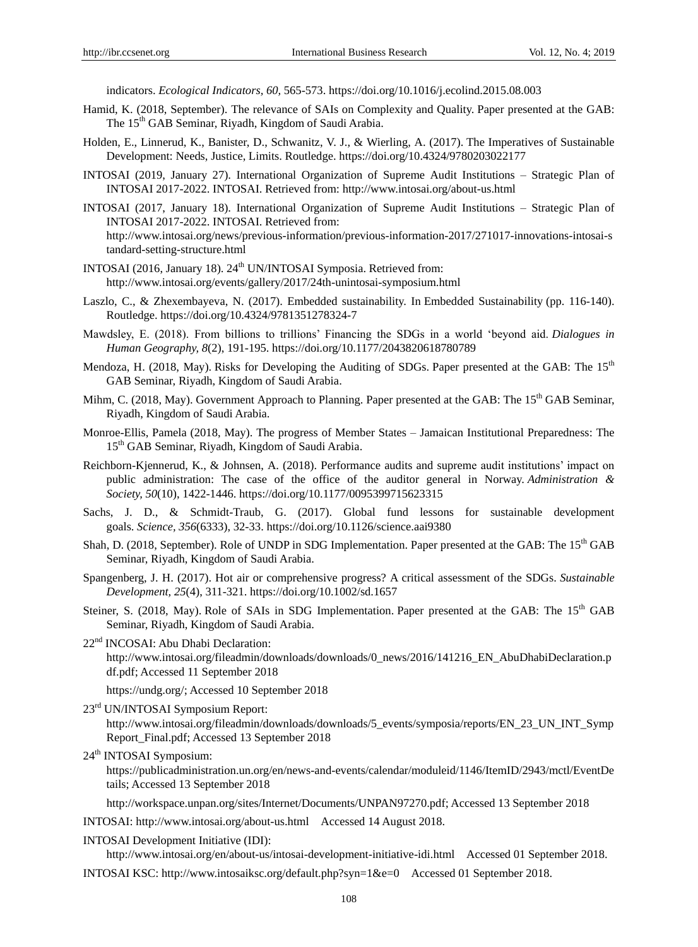indicators. *Ecological Indicators, 60,* 565-573. https://doi.org/10.1016/j.ecolind.2015.08.003

- Hamid, K. (2018, September). The relevance of SAIs on Complexity and Quality. Paper presented at the GAB: The 15<sup>th</sup> GAB Seminar, Riyadh, Kingdom of Saudi Arabia.
- Holden, E., Linnerud, K., Banister, D., Schwanitz, V. J., & Wierling, A. (2017). The Imperatives of Sustainable Development: Needs, Justice, Limits. Routledge. https://doi.org/10.4324/9780203022177
- INTOSAI (2019, January 27). International Organization of Supreme Audit Institutions Strategic Plan of INTOSAI 2017-2022. INTOSAI. Retrieved from: http://www.intosai.org/about-us.html
- INTOSAI (2017, January 18). International Organization of Supreme Audit Institutions Strategic Plan of INTOSAI 2017-2022. INTOSAI. Retrieved from: http://www.intosai.org/news/previous-information/previous-information-2017/271017-innovations-intosai-s tandard-setting-structure.html
- INTOSAI (2016, January 18). 24<sup>th</sup> UN/INTOSAI Symposia. Retrieved from: <http://www.intosai.org/events/gallery/2017/24th-unintosai-symposium.html>
- Laszlo, C., & Zhexembayeva, N. (2017). Embedded sustainability. In Embedded Sustainability (pp. 116-140). Routledge. https://doi.org/10.4324/9781351278324-7
- Mawdsley, E. (2018). From billions to trillions" Financing the SDGs in a world "beyond aid. *Dialogues in Human Geography, 8*(2), 191-195. https://doi.org/10.1177/2043820618780789
- Mendoza, H. (2018, May). Risks for Developing the Auditing of SDGs. Paper presented at the GAB: The 15<sup>th</sup> GAB Seminar, Riyadh, Kingdom of Saudi Arabia.
- Mihm, C. (2018, May). Government Approach to Planning. Paper presented at the GAB: The 15<sup>th</sup> GAB Seminar, Riyadh, Kingdom of Saudi Arabia.
- Monroe-Ellis, Pamela (2018, May). The progress of Member States Jamaican Institutional Preparedness: The 15<sup>th</sup> GAB Seminar, Riyadh, Kingdom of Saudi Arabia.
- Reichborn-Kjennerud, K., & Johnsen, A. (2018). Performance audits and supreme audit institutions" impact on public administration: The case of the office of the auditor general in Norway. *Administration & Society, 50*(10), 1422-1446. https://doi.org/10.1177/0095399715623315
- Sachs, J. D., & Schmidt-Traub, G. (2017). Global fund lessons for sustainable development goals. *Science, 356*(6333), 32-33. https://doi.org/10.1126/science.aai9380
- Shah, D. (2018, September). Role of UNDP in SDG Implementation. Paper presented at the GAB: The 15<sup>th</sup> GAB Seminar, Riyadh, Kingdom of Saudi Arabia.
- Spangenberg, J. H. (2017). Hot air or comprehensive progress? A critical assessment of the SDGs. *Sustainable Development, 25*(4), 311-321. https://doi.org/10.1002/sd.1657
- Steiner, S. (2018, May). Role of SAIs in SDG Implementation. Paper presented at the GAB: The 15<sup>th</sup> GAB Seminar, Riyadh, Kingdom of Saudi Arabia.
- 22<sup>nd</sup> INCOSAI: Abu Dhabi Declaration:

[http://www.intosai.org/fileadmin/downloads/downloads/0\\_news/2016/141216\\_EN\\_AbuDhabiDeclaration.p](http://www.intosai.org/fileadmin/downloads/downloads/0_news/2016/141216_EN_AbuDhabiDeclaration.pdf.pdf) [df.pdf;](http://www.intosai.org/fileadmin/downloads/downloads/0_news/2016/141216_EN_AbuDhabiDeclaration.pdf.pdf) Accessed 11 September 2018

[https://undg.org/;](https://undg.org/) Accessed 10 September 2018

- 23rd UN/INTOSAI Symposium Report:
	- [http://www.intosai.org/fileadmin/downloads/downloads/5\\_events/symposia/reports/EN\\_23\\_UN\\_INT\\_Symp](http://www.intosai.org/fileadmin/downloads/downloads/5_events/symposia/reports/EN_23_UN_INT_SympReport_Final.pdf) [Report\\_Final.pdf;](http://www.intosai.org/fileadmin/downloads/downloads/5_events/symposia/reports/EN_23_UN_INT_SympReport_Final.pdf) Accessed 13 September 2018
- 24<sup>th</sup> INTOSAI Symposium:

[https://publicadministration.un.org/en/news-and-events/calendar/moduleid/1146/ItemID/2943/mctl/EventDe](https://publicadministration.un.org/en/news-and-events/calendar/moduleid/1146/ItemID/2943/mctl/EventDetails) [tails;](https://publicadministration.un.org/en/news-and-events/calendar/moduleid/1146/ItemID/2943/mctl/EventDetails) Accessed 13 September 2018

[http://workspace.unpan.org/sites/Internet/Documents/UNPAN97270.pdf;](http://workspace.unpan.org/sites/Internet/Documents/UNPAN97270.pdf) Accessed 13 September 2018

INTOSAI:<http://www.intosai.org/about-us.html>Accessed 14 August 2018.

INTOSAI Development Initiative (IDI):

<http://www.intosai.org/en/about-us/intosai-development-initiative-idi.html>Accessed 01 September 2018. INTOSAI KSC:<http://www.intosaiksc.org/default.php?syn=1&e=0>Accessed 01 September 2018.